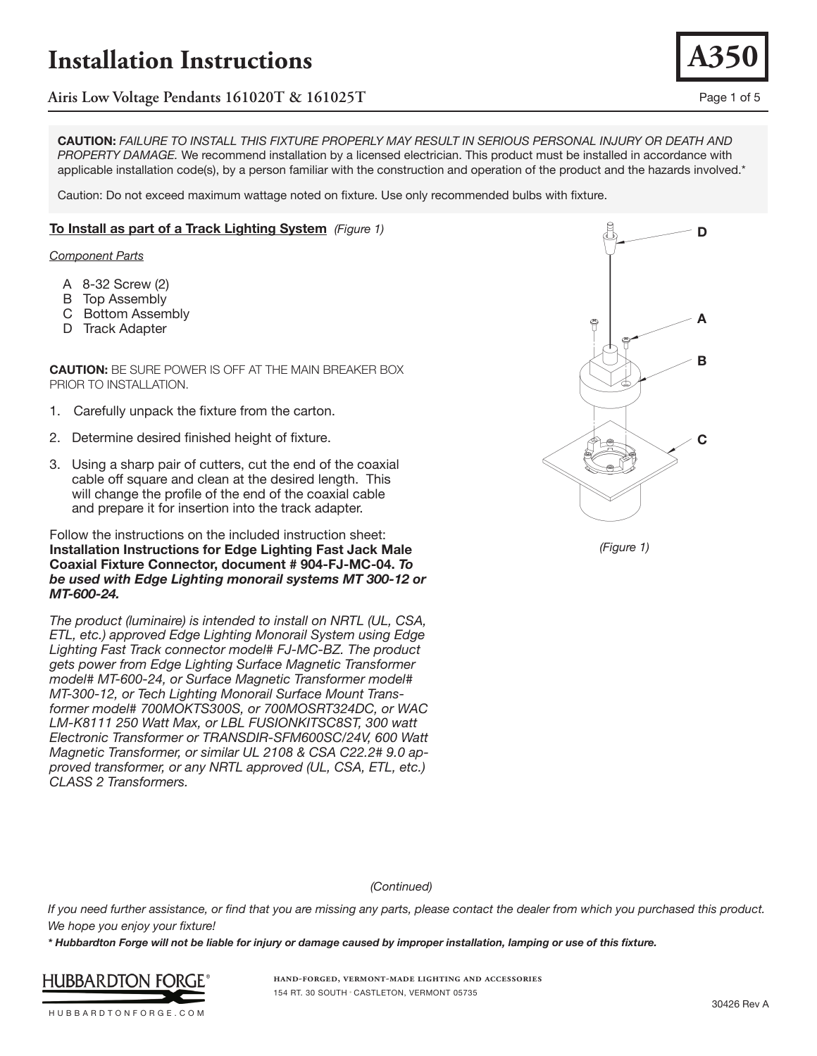

**CAUTION:** *FAILURE TO INSTALL THIS FIXTURE PROPERLY MAY RESULT IN SERIOUS PERSONAL INJURY OR DEATH AND PROPERTY DAMAGE.* We recommend installation by a licensed electrician. This product must be installed in accordance with applicable installation code(s), by a person familiar with the construction and operation of the product and the hazards involved.\*

Caution: Do not exceed maximum wattage noted on fixture. Use only recommended bulbs with fixture.

#### **To Install as part of a Track Lighting System** *(Figure 1)*

*Component Parts*

- A 8-32 Screw (2)
- B Top Assembly
- C Bottom Assembly
- D Track Adapter

**CAUTION:** BE SURE POWER IS OFF AT THE MAIN BREAKER BOX PRIOR TO INSTALLATION.

- 1. Carefully unpack the fixture from the carton.
- 2. Determine desired finished height of fixture.
- 3. Using a sharp pair of cutters, cut the end of the coaxial cable off square and clean at the desired length. This will change the profile of the end of the coaxial cable and prepare it for insertion into the track adapter.

Follow the instructions on the included instruction sheet: **Installation Instructions for Edge Lighting Fast Jack Male Coaxial Fixture Connector, document # 904-FJ-MC-04.** *To be used with Edge Lighting monorail systems MT 300-12 or MT-600-24.*

*The product (luminaire) is intended to install on NRTL (UL, CSA, ETL, etc.) approved Edge Lighting Monorail System using Edge Lighting Fast Track connector model# FJ-MC-BZ. The product gets power from Edge Lighting Surface Magnetic Transformer model# MT-600-24, or Surface Magnetic Transformer model# MT-300-12, or Tech Lighting Monorail Surface Mount Transformer model# 700MOKTS300S, or 700MOSRT324DC, or WAC LM-K8111 250 Watt Max, or LBL FUSIONKITSC8ST, 300 watt Electronic Transformer or TRANSDIR-SFM600SC/24V, 600 Watt Magnetic Transformer, or similar UL 2108 & CSA C22.2# 9.0 approved transformer, or any NRTL approved (UL, CSA, ETL, etc.) CLASS 2 Transformers.*

**D A B C**

*(Figure 1)*

*(Continued)*

*If you need further assistance, or find that you are missing any parts, please contact the dealer from which you purchased this product. We hope you enjoy your fixture!* 

*\* Hubbardton Forge will not be liable for injury or damage caused by improper installation, lamping or use of this fixture.*



**hand-forged, vermont-made lighting and accessories** 154 RT. 30 SOUTH • CASTLETON, VERMONT 05735

HUBBARDTONFORGE.COM

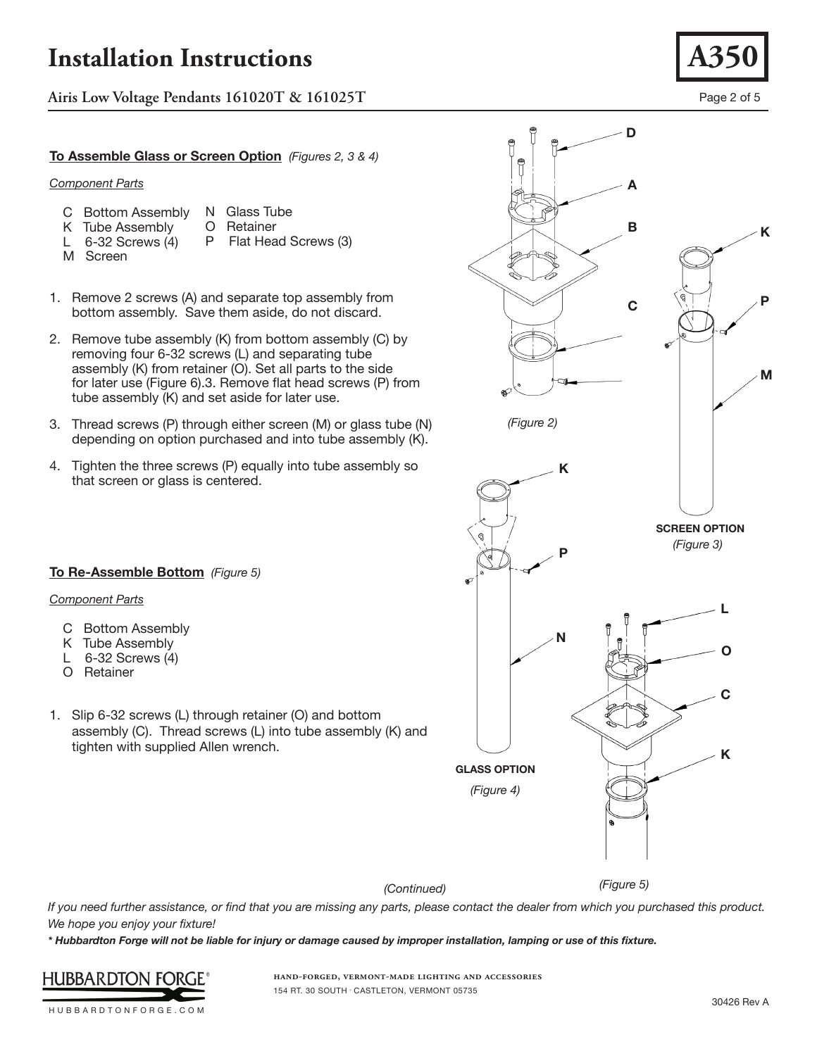**Airis Low Voltage Pendants 161020T & 161025T** Page 2 of 5

### **To Assemble Glass or Screen Option** *(Figures 2, 3 & 4)*

#### *Component Parts*

- C Bottom Assembly N Glass Tube<br>O Retainer
- K Tube Assembly
- L 6-32 Screws (4) Flat Head Screws (3)
- M Screen
- O Retainer<br>P Flat Hea
- 

**To Re-Assemble Bottom** *(Figure 5)*

*Component Parts*

C Bottom Assembly K Tube Assembly L 6-32 Screws (4) O Retainer

- 
- 
- 1. Remove 2 screws (A) and separate top assembly from bottom assembly. Save them aside, do not discard.
- 2. Remove tube assembly (K) from bottom assembly (C) by removing four 6-32 screws (L) and separating tube assembly (K) from retainer (O). Set all parts to the side for later use (Figure 6).3. Remove flat head screws (P) from tube assembly (K) and set aside for later use.
- 3. Thread screws (P) through either screen (M) or glass tube (N) depending on option purchased and into tube assembly (K).
- 4. Tighten the three screws (P) equally into tube assembly so that screen or glass is centered.

1. Slip 6-32 screws (L) through retainer (O) and bottom

tighten with supplied Allen wrench.

assembly (C). Thread screws (L) into tube assembly (K) and



*(Continued)*

*(Figure 5)*

*If you need further assistance, or find that you are missing any parts, please contact the dealer from which you purchased this product. We hope you enjoy your fixture!* 

*\* Hubbardton Forge will not be liable for injury or damage caused by improper installation, lamping or use of this fixture.*



**hand-forged, vermont-made lighting and accessories** 154 RT. 30 SOUTH • CASTLETON, VERMONT 05735

HUBBARDTONFORGE.COM

30426 Rev A

**K**

**P**

**M**

**D**

**A**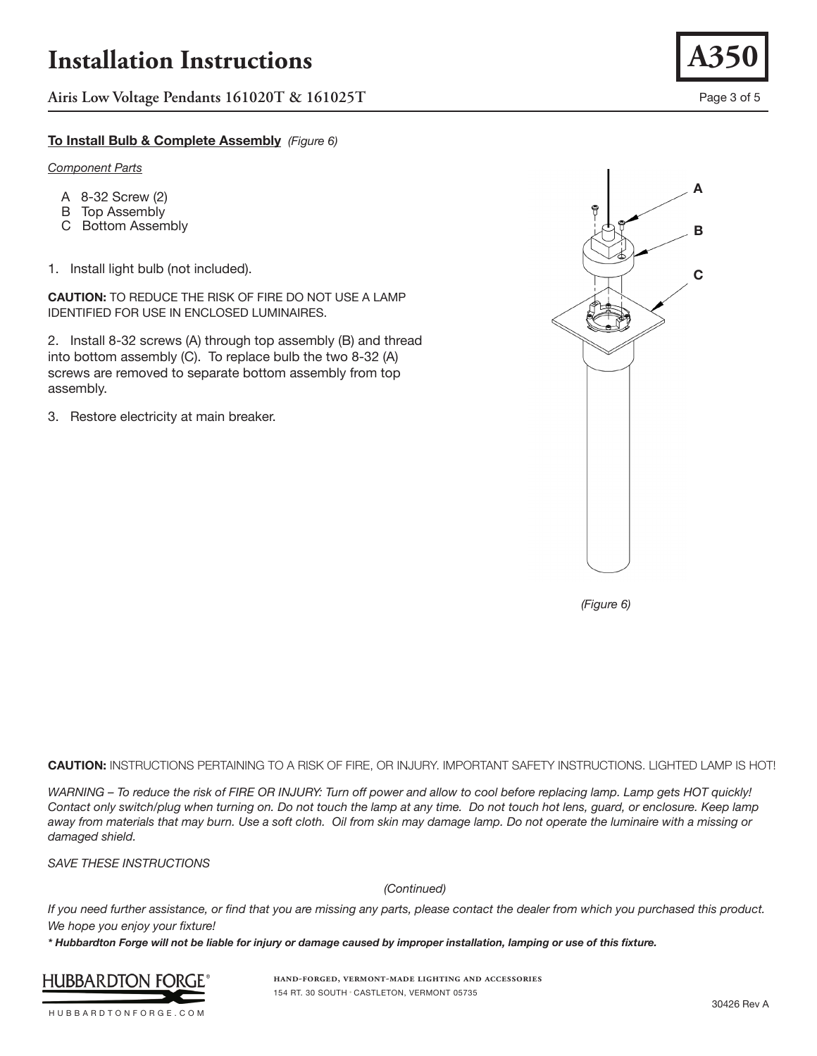**Airis Low Voltage Pendants 161020T & 161025T** Page 3 of 5

### **To Install Bulb & Complete Assembly** *(Figure 6)*

#### *Component Parts*

- A 8-32 Screw (2)
- B Top Assembly
- C Bottom Assembly
- 1. Install light bulb (not included).

**CAUTION:** TO REDUCE THE RISK OF FIRE DO NOT USE A LAMP IDENTIFIED FOR USE IN ENCLOSED LUMINAIRES.

2. Install 8-32 screws (A) through top assembly (B) and thread into bottom assembly (C). To replace bulb the two 8-32 (A) screws are removed to separate bottom assembly from top assembly.

3. Restore electricity at main breaker.



**A350**

*(Figure 6)*

**CAUTION:** INSTRUCTIONS PERTAINING TO A RISK OF FIRE, OR INJURY. IMPORTANT SAFETY INSTRUCTIONS. LIGHTED LAMP IS HOT!

*WARNING – To reduce the risk of FIRE OR INJURY: Turn off power and allow to cool before replacing lamp. Lamp gets HOT quickly! Contact only switch/plug when turning on. Do not touch the lamp at any time. Do not touch hot lens, guard, or enclosure. Keep lamp away from materials that may burn. Use a soft cloth. Oil from skin may damage lamp. Do not operate the luminaire with a missing or damaged shield.* 

*SAVE THESE INSTRUCTIONS*

*(Continued)*

*If you need further assistance, or find that you are missing any parts, please contact the dealer from which you purchased this product. We hope you enjoy your fixture!* 

*\* Hubbardton Forge will not be liable for injury or damage caused by improper installation, lamping or use of this fixture.*



**hand-forged, vermont-made lighting and accessories** 154 RT. 30 SOUTH • CASTLETON, VERMONT 05735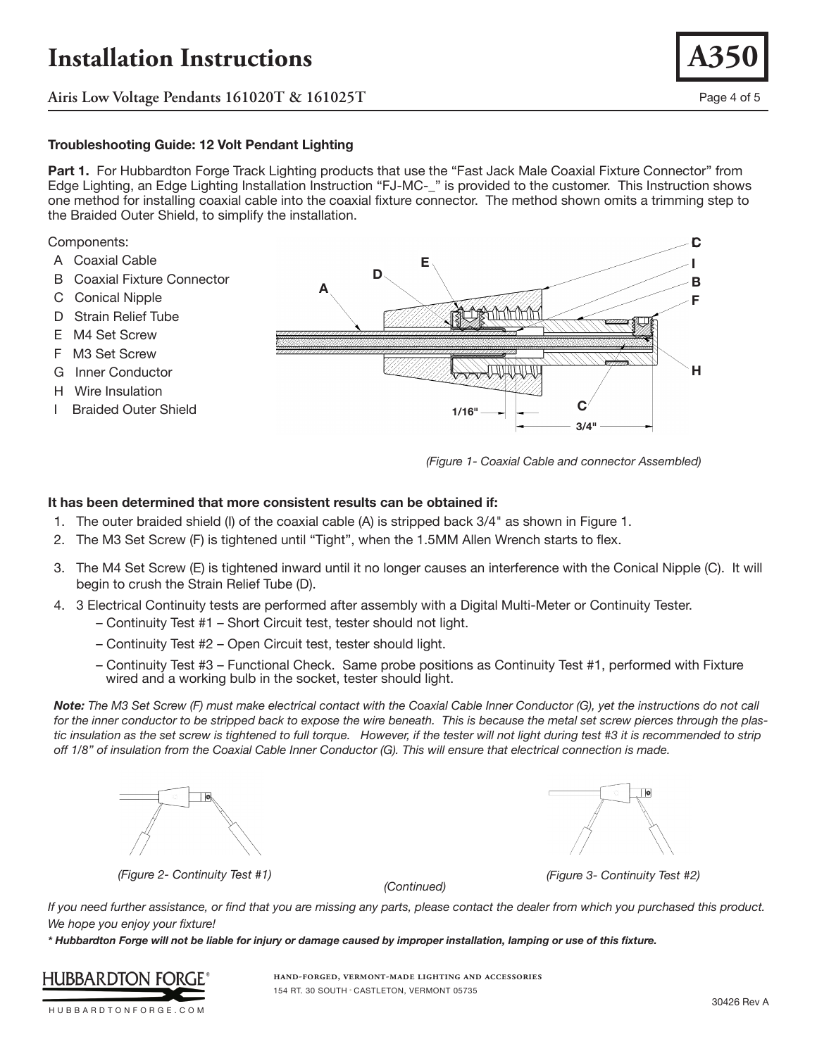**Airis Low Voltage Pendants 161020T & 161025T** Page 4 of 5

### **Troubleshooting Guide: 12 Volt Pendant Lighting**

**Part 1.** For Hubbardton Forge Track Lighting products that use the "Fast Jack Male Coaxial Fixture Connector" from Edge Lighting, an Edge Lighting Installation Instruction "FJ-MC-\_" is provided to the customer. This Instruction shows one method for installing coaxial cable into the coaxial fixture connector. The method shown omits a trimming step to the Braided Outer Shield, to simplify the installation.

#### Components:

- A Coaxial Cable
- B Coaxial Fixture Connector
- C Conical Nipple
- D Strain Relief Tube
- E M4 Set Screw
- F M3 Set Screw
- G Inner Conductor
- H Wire Insulation
- I Braided Outer Shield



*(Figure 1- Coaxial Cable and connector Assembled)*

### **It has been determined that more consistent results can be obtained if:**

- 1. The outer braided shield (I) of the coaxial cable (A) is stripped back 3/4" as shown in Figure 1.
- 2. The M3 Set Screw (F) is tightened until "Tight", when the 1.5MM Allen Wrench starts to flex.
- 3. The M4 Set Screw (E) is tightened inward until it no longer causes an interference with the Conical Nipple (C). It will begin to crush the Strain Relief Tube (D).
- 4. 3 Electrical Continuity tests are performed after assembly with a Digital Multi-Meter or Continuity Tester.
	- Continuity Test #1 Short Circuit test, tester should not light.
	- Continuity Test #2 Open Circuit test, tester should light.
	- Continuity Test #3 Functional Check. Same probe positions as Continuity Test #1, performed with Fixture wired and a working bulb in the socket, tester should light.

*Note: The M3 Set Screw (F) must make electrical contact with the Coaxial Cable Inner Conductor (G), yet the instructions do not call for the inner conductor to be stripped back to expose the wire beneath. This is because the metal set screw pierces through the plas*tic insulation as the set screw is tightened to full torque. However, if the tester will not light during test #3 it is recommended to strip *off 1/8" of insulation from the Coaxial Cable Inner Conductor (G). This will ensure that electrical connection is made.*





*(Figure 2- Continuity Test #1) (Figure 3- Continuity Test #2)*

*(Continued)*

*If you need further assistance, or find that you are missing any parts, please contact the dealer from which you purchased this product. We hope you enjoy your fixture!* 

*\* Hubbardton Forge will not be liable for injury or damage caused by improper installation, lamping or use of this fixture.*



**hand-forged, vermont-made lighting and accessories** 154 RT. 30 SOUTH • CASTLETON, VERMONT 05735